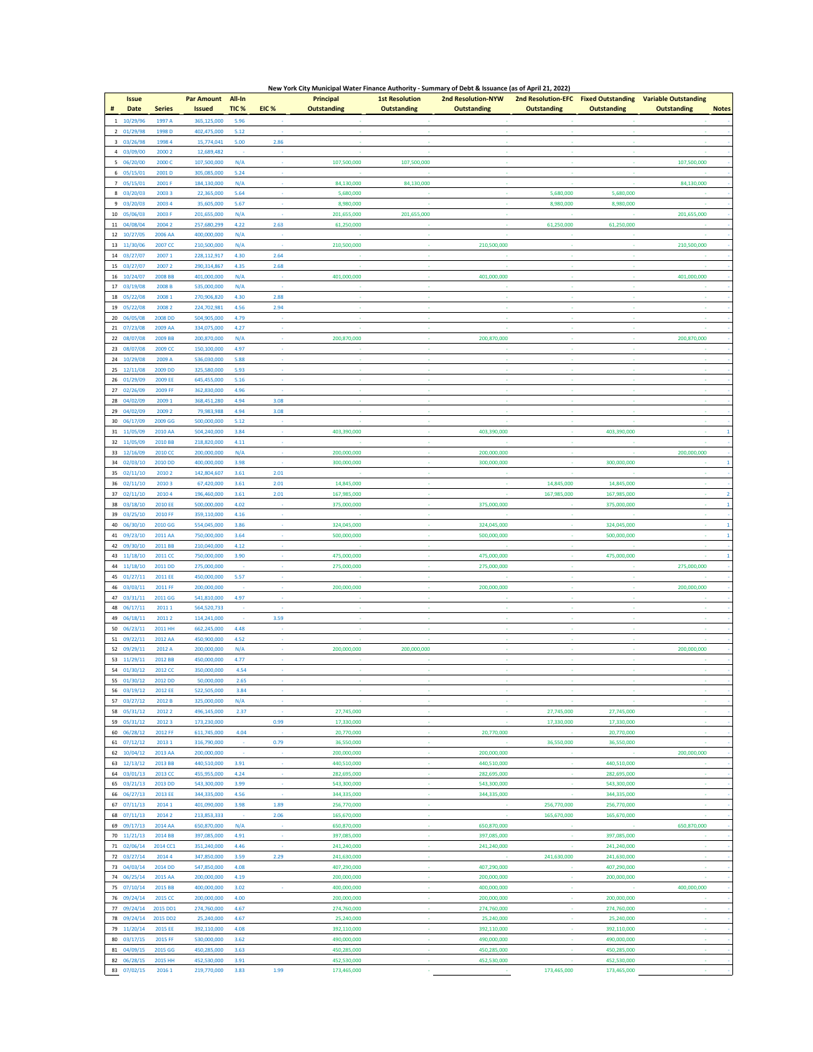|          | New York City Municipal Water Finance Authority - Summary of Debt & Issuance (as of April 21, 2022) |                     |                            |                  |               |                            |                       |                            |                               |                            |                             |              |
|----------|-----------------------------------------------------------------------------------------------------|---------------------|----------------------------|------------------|---------------|----------------------------|-----------------------|----------------------------|-------------------------------|----------------------------|-----------------------------|--------------|
|          | <b>Issue</b>                                                                                        |                     | <b>Par Amount</b>          | All-In           |               | Principal                  | <b>1st Resolution</b> | <b>2nd Resolution-NYW</b>  | <b>2nd Resolution-EFC</b>     | <b>Fixed Outstanding</b>   | <b>Variable Outstanding</b> |              |
|          | Date                                                                                                | <b>Series</b>       | <b>Issued</b>              | TIC <sub>%</sub> | <b>EIC %</b>  | <b>Outstanding</b>         | <b>Outstanding</b>    | <b>Outstanding</b>         | <b>Outstanding</b>            | <b>Outstanding</b>         | <b>Outstanding</b>          | <b>Notes</b> |
|          | 1 10/29/96<br>2 01/29/98                                                                            | 1997 A<br>1998 D    | 365,125,000<br>402,475,000 | 5.96<br>5.12     |               |                            |                       |                            |                               |                            |                             |              |
| 3        | 03/26/98                                                                                            | 19984               | 15,774,041                 | 5.00             | 2.86          | ×                          | ×.                    | ×                          | ×                             | $\sim$                     |                             |              |
|          | 4 03/09/00                                                                                          | 2000 2              | 12,689,482                 | - 1              | ×             |                            |                       |                            | ×                             | ×,                         |                             |              |
| 5        | 06/20/00                                                                                            | 2000 C              | 107,500,000                | N/A              | à.            | 107,500,000                | 107,500,000           |                            |                               | ÷                          | 107,500,000                 |              |
|          | 6 05/15/01<br>7 05/15/01                                                                            | 2001 D<br>2001 F    | 305,085,000<br>184,130,000 | 5.24<br>N/A      | ×             | 84,130,000                 | 84,130,000            | ×                          | ×                             | ×.                         | 84,130,000                  |              |
| 8        | 03/20/03                                                                                            | 20033               | 22,365,000                 | 5.64             | ×             | 5,680,000                  |                       |                            | 5,680,000                     | 5,680,000                  |                             |              |
| 9        | 03/20/03                                                                                            | 20034               | 35,605,000                 | 5.67             | $\sim$        | 8,980,000                  |                       | ×                          | 8,980,000                     | 8,980,000                  |                             |              |
| 10       | 05/06/03                                                                                            | 2003 F              | 201,655,000                | N/A              | ×.            | 201,655,000                | 201,655,000           | ÷.                         |                               |                            | 201,655,000                 |              |
|          | 11 04/08/04<br>12 10/27/05                                                                          | 20042               | 257,680,299                | 4.22             | 2.63          | 61,250,000                 |                       | ×                          | 61,250,000                    | 61,250,000                 |                             |              |
| 13       | 11/30/06                                                                                            | 2006 AA<br>2007 CC  | 400,000,000<br>210,500,000 | N/A<br>N/A       | ×.            | 210,500,000                | ×                     | 210,500,000                | ×                             | ×                          | 210,500,000                 |              |
| 14       | 03/27/07                                                                                            | 20071               | 228,112,917                | 4.30             | 2.64          |                            | $\sim$                |                            | $\overline{\phantom{a}}$      | ×                          |                             |              |
| 15       | 03/27/07                                                                                            | 20072               | 290, 314, 867              | 4.35             | 2.68          |                            |                       |                            | ÷                             | ÷                          |                             |              |
|          | 16 10/24/07                                                                                         | 2008 BB             | 401,000,000                | N/A              | ×.            | 401,000,000                | ×                     | 401,000,000                | ×                             | ÷.                         | 401,000,000                 |              |
| 17<br>18 | 03/19/08<br>05/22/08                                                                                | 2008B<br>20081      | 535,000,000<br>270,906,820 | N/A<br>4.30      | 2.88          | ×                          | ×                     | ×                          | ×                             | ×,                         |                             |              |
| 19       | 05/22/08                                                                                            | 20082               | 224,702,981                | 4.56             | 2.94          | ×                          | ×                     | ×                          | ×                             | ×,                         |                             |              |
| 20       | 06/05/08                                                                                            | 2008 DD             | 504,905,000                | 4.79             | ł.            | ×                          | ×                     | ÷                          | ×.                            | ×                          |                             |              |
|          | 21 07/23/08                                                                                         | 2009 AA             | 334,075,000                | 4.27             | o.            | ×                          | ×                     | ÷                          | ×                             | ×                          |                             |              |
| 22<br>23 | 08/07/08<br>08/07/08                                                                                | 2009 BB<br>2009 CC  | 200,870,000<br>150,100,000 | N/A<br>4.97      | ×             | 200,870,000                | ×                     | 200,870,000                | ×                             | ×                          | 200,870,000                 |              |
| 24       | 10/29/08                                                                                            | 2009 A              | 536,030,000                | 5.88             | ×             | ×                          | ×                     | ×                          | ×                             | ×,                         |                             |              |
| 25       | 12/11/08                                                                                            | 2009 DD             | 325,580,000                | 5.93             | ×.            | t                          |                       |                            | ×                             | ×                          |                             |              |
|          | 26 01/29/09                                                                                         | 2009 EE             | 645,455,000                | 5.16             | $\sim$        | n.                         | ×                     | ×                          | ×                             | ¥.                         | ×.                          |              |
| 27<br>28 | 02/26/09<br>04/02/09                                                                                | 2009 FF<br>2009 1   | 362,830,000<br>368,451,280 | 4.96<br>4.94     | 3.08          | ×                          |                       |                            | ×                             |                            |                             |              |
| 29       | 04/02/09                                                                                            | 20092               | 79,983,988                 | 4.94             | 3.08          | ×                          | ×                     | ×                          | ×                             | ×                          | ×                           |              |
| 30       | 06/17/09                                                                                            | 2009 GG             | 500,000,000                | 5.12             |               |                            | ×                     |                            | ×.                            |                            |                             |              |
|          | 31 11/05/09                                                                                         | 2010 AA             | 504,240,000                | 3.84             | o.            | 403,390,000                | ×.                    | 403,390,000                | ×                             | 403,390,000                | ×                           |              |
| 32       | 11/05/09                                                                                            | 2010 BB             | 218,820,000                | 4.11             | ×             |                            | ×                     | 200,000,000                |                               |                            | 200,000,000                 |              |
| 33<br>34 | 12/16/09<br>02/03/10                                                                                | 2010 CC<br>2010 DD  | 200,000,000<br>400,000,000 | N/A<br>3.98      | ٠             | 200,000,000<br>300,000,000 | ٠                     | 300,000,000                | ×<br>$\overline{\phantom{a}}$ | 300,000,000                |                             |              |
| 35       | 02/11/10                                                                                            | 20102               | 142,804,607                | 3.61             | 2.01          |                            |                       |                            |                               |                            |                             |              |
|          | 36 02/11/10                                                                                         | 20103               | 67,420,000                 | 3.61             | 2.01          | 14,845,000                 | ×                     | o.                         | 14,845,000                    | 14,845,000                 | ÷.                          |              |
| 37       | 02/11/10                                                                                            | 20104               | 196,460,000                | 3.61             | 2.01          | 167,985,000                |                       |                            | 167,985,000                   | 167,985,000                |                             |              |
| 38<br>39 | 03/18/10<br>03/25/10                                                                                | 2010 EE<br>2010 FF  | 500,000,000<br>359,110,000 | 4.02<br>4.16     | ×<br>$\sim$   | 375,000,000                | ×<br>×                | 375,000,000                | $\sim$                        | 375,000,000                |                             |              |
| 40       | 06/30/10                                                                                            | 2010 GG             | 554,045,000                | 3.86             | $\mathcal{L}$ | 324,045,000                | ×                     | 324,045,000                | ×.                            | 324,045,000                |                             |              |
|          | 41 09/23/10                                                                                         | 2011 AA             | 750,000,000                | 3.64             | o.            | 500,000,000                | ×.                    | 500,000,000                | ×                             | 500,000,000                | ×                           |              |
| 42       | 09/30/10                                                                                            | 2011 BB             | 210,040,000                | 4.12             |               |                            |                       |                            |                               |                            |                             |              |
| 43<br>44 | 11/18/10<br>11/18/10                                                                                | 2011 CC<br>2011 DD  | 750,000,000<br>275,000,000 | 3.90             | ×<br>×        | 475,000,000<br>275,000,000 | ×.                    | 475,000,000<br>275,000,000 | ×<br>×                        | 475,000,000                | 275,000,000                 |              |
| 45       | 01/27/11                                                                                            | 2011 EE             | 450,000,000                | 5.57             | ×.            |                            |                       |                            | J.                            |                            |                             |              |
|          | 46 03/03/11                                                                                         | 2011 FF             | 200,000,000                | ÷                | $\sim$        | 200,000,000                | ×.                    | 200,000,000                | $\mathcal{A}$                 | ¥.                         | 200,000,000                 |              |
| 47       | 03/31/11                                                                                            | 2011 GG             | 541,810,000                | 4.97             |               |                            |                       |                            |                               |                            |                             |              |
| 48<br>49 | 06/17/11<br>06/18/11                                                                                | 2011 1<br>20112     | 564,520,733<br>114,241,000 | ×                | ×.<br>3.59    | ×<br>×                     | ×<br>×                | ×                          | ×<br>×                        | ×.<br>×                    |                             |              |
| 50       | 06/23/11                                                                                            | 2011 HH             | 662,245,000                | 4.48             |               |                            |                       | ×,                         | ×                             | ×                          |                             |              |
| 51       | 09/22/11                                                                                            | 2012 AA             | 450,900,000                | 4.52             | ×.            | ×                          |                       | ×                          | ×                             | ×                          |                             |              |
| 52       | 09/29/11                                                                                            | 2012 A              | 200,000,000                | N/A              | ×,            | 200,000,000                | 200,000,000           |                            |                               |                            | 200,000,000                 |              |
| 53       | 11/29/11<br>54 01/30/12                                                                             | 2012 BB<br>2012 CC  | 450,000,000<br>350,000,000 | 4.77<br>4.54     | ×<br>٠        |                            |                       | ×                          | ×                             | ×.                         |                             |              |
|          | 55 01/30/12                                                                                         | 2012 DD             | 50,000,000                 | 2.65             |               |                            |                       |                            |                               |                            |                             |              |
|          | 56 03/19/12                                                                                         | 2012 EE             | 522,505,000                | 3.84             | ×.            | ×.                         | A.                    | ×.                         | ×                             | A.                         | ×.                          |              |
|          | 57 03/27/12                                                                                         | 2012 B              | 325,000,000                | N/A              |               |                            |                       |                            |                               |                            |                             |              |
| 58       | 05/31/12<br>59 05/31/12                                                                             | 2012 2<br>2012 3    | 496,145,000<br>173,230,000 | 2.37             | ×.<br>0.99    | 27,745,000<br>17,330,000   | ×<br>×                | ×                          | 27,745,000<br>17,330,000      | 27,745,000<br>17,330,000   | ×<br>×                      |              |
| 60       | 06/28/12                                                                                            | 2012 FF             | 611,745,000                | 4.04             |               | 20,770,000                 | ×                     | 20,770,000                 |                               | 20,770,000                 |                             |              |
|          | 61 07/12/12                                                                                         | 20131               | 316,790,000                | $\sim$           | 0.79          | 36,550,000                 | ×                     |                            | 36,550,000                    | 36,550,000                 | ×                           |              |
|          | 62 10/04/12                                                                                         | 2013 AA             | 200,000,000                | 3.91             | ×,            | 200,000,000                | ×.                    | 200,000,000                | ×                             |                            | 200,000,000                 |              |
| 63       | 12/13/12<br>64 03/01/13                                                                             | 2013 BB<br>2013 CC  | 440,510,000<br>455,955,000 | 4.24             | $\sim$<br>×   | 440,510,000<br>282,695,000 | ×                     | 440,510,000<br>282,695,000 | $\sim$                        | 440,510,000<br>282,695,000 |                             |              |
| 65       | 03/21/13                                                                                            | 2013 DD             | 543,300,000                | 3.99             | ×.            | 543,300,000                | ÷                     | 543,300,000                |                               | 543,300,000                | à,                          |              |
|          | 66 06/27/13                                                                                         | 2013 EE             | 344,335,000                | 4.56             | ×             | 344,335,000                | A.                    | 344,335,000                | ×                             | 344,335,000                | ×.                          |              |
|          | 67 07/11/13                                                                                         | 2014 1              | 401,090,000                | 3.98             | 1.89          | 256,770,000                |                       |                            | 256,770,000                   | 256,770,000                |                             |              |
| 68       | 07/11/13<br>69 09/17/13                                                                             | 20142<br>2014 AA    | 213,853,333<br>650,870,000 | ×.<br>N/A        | 2.06<br>×     | 165,670,000<br>650,870,000 | ×<br>×                | $\sim$<br>650,870,000      | 165,670,000<br>×              | 165,670,000                | 650,870,000                 |              |
| 70       | 11/21/13                                                                                            | 2014 BB             | 397,085,000                | 4.91             | ×.            | 397,085,000                | ×                     | 397,085,000                | ×.                            | 397,085,000                |                             |              |
|          | 71 02/06/14                                                                                         | 2014 CC1            | 351,240,000                | 4.46             | ×             | 241,240,000                | ×                     | 241,240,000                | ×                             | 241,240,000                | ×                           |              |
|          | 72 03/27/14                                                                                         | 20144               | 347,850,000                | 3.59             | 2.29          | 241,630,000                |                       |                            | 241,630,000                   | 241,630,000                |                             |              |
| 73       | 04/03/14<br>74 06/25/14                                                                             | 2014 DD<br>2015 AA  | 547,850,000<br>200,000,000 | 4.08<br>4.19     |               | 407,290,000<br>200,000,000 | ×<br>×                | 407,290,000<br>200,000,000 | ×                             | 407,290,000<br>200,000,000 | ×                           |              |
| 75       | 07/10/14                                                                                            | 2015 BB             | 400,000,000                | 3.02             |               | 400,000,000                |                       | 400,000,000                | J.                            |                            | 400,000,000                 |              |
|          | 76 09/24/14                                                                                         | 2015 CC             | 200,000,000                | 4.00             |               | 200,000,000                | ×.                    | 200,000,000                | ×                             | 200,000,000                | ×                           |              |
|          | 77 09/24/14                                                                                         | 2015 DD1            | 274,760,000                | 4.67             |               | 274,760,000                |                       | 274,760,000                | ×                             | 274,760,000                |                             |              |
| 78       | 09/24/14<br>79 11/20/14                                                                             | 2015 DD2<br>2015 EE | 25,240,000<br>392,110,000  | 4.67<br>4.08     |               | 25,240,000<br>392,110,000  | ×<br>×                | 25,240,000<br>392,110,000  | ×<br>×                        | 25,240,000<br>392,110,000  | ×<br>×                      |              |
| 80       | 03/17/15                                                                                            | 2015 FF             | 530,000,000                | 3.62             |               | 490,000,000                | ÷.                    | 490,000,000                | ×.                            | 490,000,000                |                             |              |
|          | 81 04/09/15                                                                                         | 2015 GG             | 450,285,000                | 3.63             |               | 450,285,000                | ×                     | 450,285,000                | ×                             | 450,285,000                | ×                           |              |
| 82       | 06/28/15                                                                                            | <b>2015 HH</b>      | 452,530,000                | 3.91             |               | 452,530,000                |                       | 452,530,000                |                               | 452,530,000                |                             |              |
|          | 83 07/02/15                                                                                         | 2016 1              | 219,770,000                | 3.83             | 1.99          | 173,465,000                | ×                     |                            | 173,465,000                   | 173,465,000                |                             |              |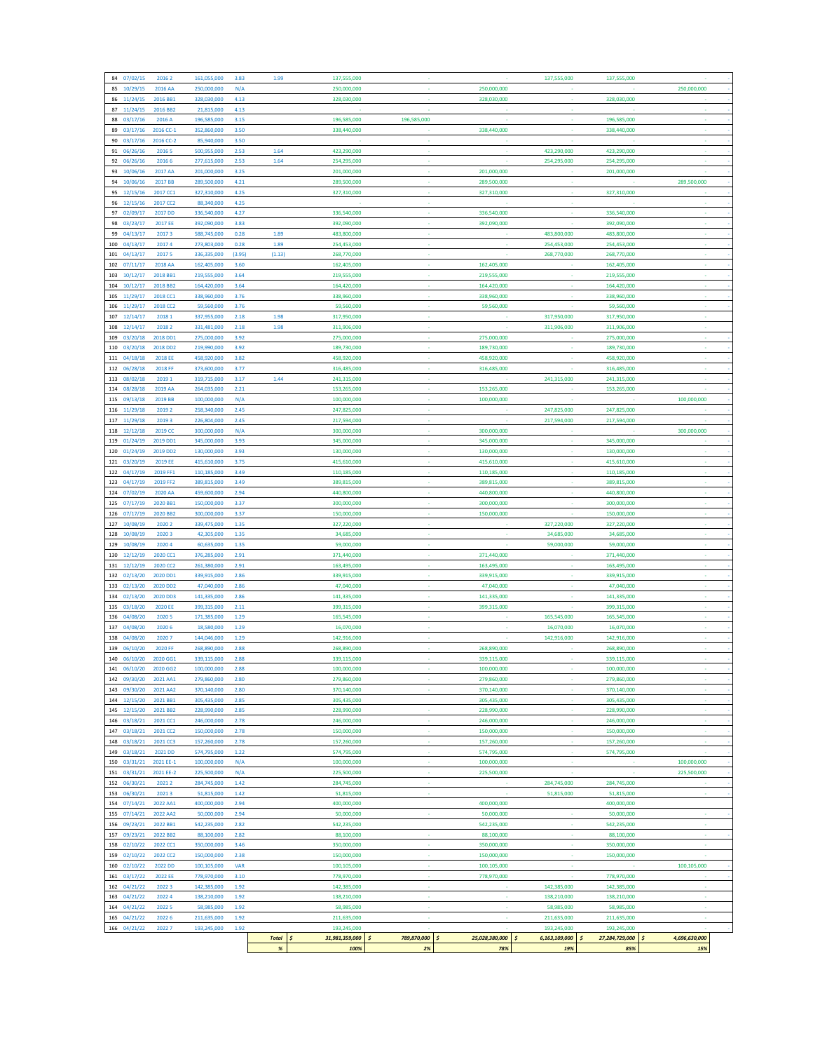| 84 07/02/15                        | 20162                | 161,055,000                | 3.83         | 1.99<br>137,555,000                                |                   |                            | 137,555,000                       | 137,555,000                        |                    |
|------------------------------------|----------------------|----------------------------|--------------|----------------------------------------------------|-------------------|----------------------------|-----------------------------------|------------------------------------|--------------------|
| 85<br>10/29/15                     | 2016 AA              | 250,000,000                | N/A          | 250,000,000                                        |                   | 250,000,000                |                                   |                                    | 250,000,000        |
| 11/24/15<br>86                     | 2016 BB1             | 328,030,000                | 4.13         | 328,030,000                                        | ×.                | 328,030,000                | ×                                 | 328,030,000                        |                    |
| 11/24/15<br>87<br>88<br>03/17/16   | 2016 BB2<br>2016 A   | 21,815,000<br>196,585,000  | 4.13<br>3.15 | 196,585,000                                        | 196,585,000       |                            |                                   | 196,585,000                        |                    |
| 03/17/16<br>89                     | 2016 CC-1            | 352,860,000                | 3.50         | 338,440,000                                        |                   | 338,440,000                |                                   | 338,440,000                        |                    |
| 03/17/16<br>90                     | 2016 CC-2            | 85,940,000                 | 3.50         |                                                    |                   |                            |                                   |                                    |                    |
| 06/26/16<br>91                     | 20165                | 500,955,000                | 2.53         | 1.64<br>423,290,000                                |                   |                            | 423,290,000                       | 423,290,000                        | ×                  |
| 06/26/16<br>92                     | 20166                | 277,615,000                | 2.53         | 1.64<br>254,295,000                                |                   |                            | 254,295,000                       | 254,295,000                        |                    |
| 93<br>10/06/16<br>10/06/16<br>94   | 2017 AA<br>2017 BB   | 201,000,000<br>289,500,000 | 3.25<br>4.21 | 201,000,000<br>289,500,000                         |                   | 201,000,000<br>289,500,000 |                                   | 201,000,000                        | 289,500,000        |
| 12/15/16<br>95                     | 2017 CC1             | 327,310,000                | 4.25         | 327,310,000                                        |                   | 327,310,000                |                                   | 327,310,000                        |                    |
| 12/15/16<br>96                     | 2017 CC2             | 88,340,000                 | 4.25         |                                                    | ×                 |                            | ×.                                |                                    | ×                  |
| 97<br>02/09/17                     | 2017 DD              | 336,540,000                | 4.27         | 336,540,000                                        |                   | 336,540,000                |                                   | 336,540,000                        |                    |
| 98<br>03/23/17                     | 2017 EE              | 392,090,000                | 3.83         | 392,090,000                                        |                   | 392,090,000                |                                   | 392,090,000                        |                    |
| 04/13/17<br>99<br>04/13/17<br>100  | 20173<br>20174       | 588,745,000<br>273,803,000 | 0.28<br>0.28 | 1.89<br>483,800,000<br>1.89<br>254,453,000         |                   |                            | 483,800,000<br>254,453,000        | 483,800,000<br>254,453,000         |                    |
| 101<br>04/13/17                    | 20175                | 336,335,000                | (3.95)       | (1.13)<br>268,770,000                              |                   | ×.                         | 268,770,000                       | 268,770,000                        | ×                  |
| 07/11/17<br>102                    | 2018 AA              | 162,405,000                | 3.60         | 162,405,000                                        |                   | 162,405,000                |                                   | 162,405,000                        |                    |
| 103<br>10/12/17                    | 2018 BB1             | 219,555,000                | 3.64         | 219,555,000                                        |                   | 219,555,000                |                                   | 219,555,000                        |                    |
| 10/12/17<br>104<br>11/29/17<br>105 | 2018 BB2<br>2018 CC1 | 164,420,000<br>338,960,000 | 3.64<br>3.76 | 164,420,000<br>338,960,000                         |                   | 164,420,000<br>338,960,000 |                                   | 164,420,000<br>338,960,000         |                    |
| 11/29/17<br>106                    | 2018 CC2             | 59,560,000                 | 3.76         | 59,560,000                                         | ×.                | 59,560,000                 |                                   | 59,560,000                         | ×                  |
| 12/14/17<br>107                    | 20181                | 337,955,000                | 2.18         | 1.98<br>317,950,000                                |                   |                            | 317,950,000                       | 317,950,000                        |                    |
| 108<br>12/14/17                    | 20182                | 331,481,000                | 2.18         | 1.98<br>311,906,000                                |                   |                            | 311,906,000                       | 311,906,000                        |                    |
| 03/20/18<br>109                    | 2018 DD1             | 275,000,000                | 3.92         | 275,000,000                                        |                   | 275,000,000                |                                   | 275,000,000                        |                    |
| 03/20/18<br>110<br>111<br>04/18/18 | 2018 DD2<br>2018 EE  | 219,990,000<br>458,920,000 | 3.92<br>3.82 | 189,730,000<br>458,920,000                         | ×                 | 189,730,000<br>458,920,000 | ×.                                | 189,730,000<br>458,920,000         | ×,                 |
| 06/28/18<br>112                    | 2018 FF              | 373,600,000                | 3.77         | 316,485,000                                        |                   | 316,485,000                |                                   | 316,485,000                        |                    |
| 113<br>08/02/18                    | 20191                | 319,715,000                | 3.17         | 1.44<br>241,315,000                                |                   |                            | 241,315,000                       | 241,315,000                        |                    |
| 08/28/18<br>114                    | 2019 AA              | 264,035,000                | 2.21         | 153,265,000                                        |                   | 153,265,000                |                                   | 153,265,000                        |                    |
| 09/13/18<br>115                    | 2019 BB              | 100,000,000                | N/A          | 100,000,000                                        |                   | 100,000,000                |                                   |                                    | 100,000,000        |
| 11/29/18<br>116<br>11/29/18<br>117 | 20192<br>20193       | 258,340,000<br>226,804,000 | 2.45<br>2.45 | 247,825,000<br>217,594,000                         | ×                 |                            | 247,825,000<br>217,594,000        | 247,825,000<br>217,594,000         |                    |
| 118<br>12/12/18                    | 2019 CC              | 300,000,000                | N/A          | 300,000,000                                        |                   | 300,000,000                |                                   |                                    | 300,000,000        |
| 01/24/19<br>119                    | 2019 DD1             | 345,000,000                | 3.93         | 345,000,000                                        |                   | 345,000,000                |                                   | 345,000,000                        |                    |
| 01/24/19<br>120                    | 2019 DD2             | 130,000,000                | 3.93         | 130,000,000                                        |                   | 130,000,000                |                                   | 130,000,000                        |                    |
| 121<br>03/20/19                    | 2019 EE              | 415,610,000                | 3.75         | 415,610,000                                        |                   | 415,610,000                |                                   | 415,610,000                        | ×                  |
| 04/17/19<br>122<br>123<br>04/17/19 | 2019 FF1<br>2019 FF2 | 110,185,000<br>389,815,000 | 3.49<br>3.49 | 110,185,000<br>389,815,000                         |                   | 110,185,000<br>389,815,000 |                                   | 110,185,000<br>389,815,000         |                    |
| 07/02/19<br>124                    | 2020 AA              | 459,600,000                | 2.94         | 440,800,000                                        |                   | 440,800,000                |                                   | 440,800,000                        |                    |
| 07/17/19<br>125                    | 2020 BB1             | 150,000,000                | 3.37         | 300,000,000                                        |                   | 300,000,000                |                                   | 300,000,000                        |                    |
| 07/17/19<br>126                    | 2020 BB2             | 300,000,000                | 3.37         | 150,000,000                                        | ×.                | 150,000,000                |                                   | 150,000,000                        | ×.                 |
| 127<br>10/08/19                    | 20202                | 339,475,000                | 1.35         | 327,220,000                                        |                   |                            | 327,220,000                       | 327,220,000                        |                    |
| 128<br>10/08/19<br>10/08/19<br>129 | 20203<br>20204       | 42,305,000<br>60,635,000   | 1.35<br>1.35 | 34,685,000<br>59,000,000                           |                   |                            | 34,685,000<br>59,000,000          | 34,685,000<br>59,000,000           |                    |
| 12/12/19<br>130                    | 2020 CC1             | 376,285,000                | 2.91         | 371,440,000                                        |                   | 371,440,000                |                                   | 371,440,000                        |                    |
| 131<br>12/12/19                    | 2020 CC2             | 261,380,000                | 2.91         | 163,495,000                                        | ×                 | 163,495,000                | ×.                                | 163,495,000                        | ×,                 |
| 02/13/20<br>132                    | 2020 DD1             | 339,915,000                | 2.86         | 339,915,000                                        |                   | 339,915,000                |                                   | 339,915,000                        |                    |
| 133<br>02/13/20<br>02/13/20<br>134 | 2020 DD2<br>2020 DD3 | 47,040,000<br>141,335,000  | 2.86<br>2.86 | 47,040,000<br>141,335,000                          |                   | 47,040,000<br>141,335,000  |                                   | 47,040,000<br>141,335,000          |                    |
| 03/18/20<br>135                    | 2020 EE              | 399,315,000                | 2.11         | 399,315,000                                        |                   | 399,315,000                |                                   | 399,315,000                        |                    |
| 04/08/20<br>136                    | 2020 5               | 171,385,000                | 1.29         | 165,545,000                                        | ×.                |                            | 165,545,000                       | 165,545,000                        | ×,                 |
| 04/08/20<br>137                    | 20206                | 18,580,000                 | 1.29         | 16,070,000                                         |                   |                            | 16,070,000                        | 16,070,000                         |                    |
| 138<br>04/08/20                    | 20207                | 144,046,000                | 1.29         | 142,916,000<br>268,890,000                         |                   |                            | 142,916,000                       | 142,916,000                        |                    |
| 139<br>06/10/20<br>06/10/20<br>140 | 2020 FF<br>2020 GG1  | 268,890,000<br>339,115,000 | 2.88<br>2.88 | 339,115,000                                        |                   | 268,890,000<br>339,115,000 |                                   | 268,890,000<br>339,115,000         |                    |
| 06/10/20<br>141                    | 2020 GG2             | 100,000,000                | 2.88         | 100,000,000                                        |                   | 100,000,000                |                                   | 100,000,000                        |                    |
| 142 09/30/20                       | 2021 AA1             | 279,860,000                | 2.80         | 279,860,000                                        |                   | 279,860,000                | ×                                 | 279,860,000                        |                    |
| 143<br>09/30/20                    | 2021 AA2             | 370,140,000                | 2.80         | 370,140,000                                        |                   | 370,140,000                |                                   | 370,140,000                        | ×                  |
| 144 12/15/20<br>145<br>12/15/20    | 2021 BB1<br>2021 BB2 | 305,435,000<br>228,990,000 | 2.85<br>2.85 | 305,435,000<br>228,990,000                         |                   | 305,435,000<br>228,990,000 |                                   | 305,435,000<br>228,990,000         |                    |
| 03/18/21<br>146                    | 2021 CC1             | 246,000,000                | 2.78         | 246,000,000                                        | ×.                | 246,000,000                | ×                                 | 246,000,000                        | ×                  |
| 03/18/21<br>147                    | 2021 CC2             | 150,000,000                | 2.78         | 150,000,000                                        |                   | 150,000,000                |                                   | 150,000,000                        |                    |
| 148<br>03/18/21                    | 2021 CC3             | 157,260,000                | 2.78         | 157,260,000                                        |                   | 157,260,000                |                                   | 157,260,000                        |                    |
| 149<br>03/18/21<br>03/31/21<br>150 | 2021 DD<br>2021 EE-1 | 574,795,000<br>100,000,000 | 1.22<br>N/A  | 574,795,000<br>100,000,000                         | ×                 | 574,795,000<br>100,000,000 | ×                                 | 574,795,000                        | 100,000,000        |
| 03/31/21<br>151                    | 2021 EE-2            | 225,500,000                | N/A          | 225,500,000                                        | ×.                | 225,500,000                | ×.                                | ×,                                 | 225,500,000        |
| 152 06/30/21                       | 20212                | 284,745,000                | 1.42         | 284,745,000                                        |                   |                            | 284,745,000                       | 284,745,000                        |                    |
| 06/30/21<br>153                    | 20213                | 51,815,000                 | 1.42         | 51,815,000                                         |                   |                            | 51,815,000                        | 51,815,000                         |                    |
| 07/14/21<br>154                    | 2022 AA1             | 400,000,000                | 2.94         | 400,000,000                                        |                   | 400,000,000                |                                   | 400,000,000                        |                    |
| 155<br>07/14/21<br>09/23/21<br>156 | 2022 AA2<br>2022 BB1 | 50,000,000<br>542,235,000  | 2.94<br>2.82 | 50,000,000<br>542,235,000                          |                   | 50,000,000<br>542,235,000  | ×                                 | 50,000,000<br>542,235,000          | ×                  |
| 09/23/21<br>157                    | 2022 BB2             | 88,100,000                 | 2.82         | 88,100,000                                         |                   | 88,100,000                 |                                   | 88,100,000                         |                    |
| 158<br>02/10/22                    | 2022 CC1             | 350,000,000                | 3.46         | 350,000,000                                        |                   | 350,000,000                |                                   | 350,000,000                        |                    |
| 159<br>02/10/22                    | 2022 CC2             | 150,000,000                | 2.38         | 150,000,000                                        |                   | 150,000,000                |                                   | 150,000,000                        |                    |
| 160<br>02/10/22<br>03/17/22        | 2022 DD<br>2022 EE   | 100,105,000<br>778,970,000 | VAR<br>3.10  | 100,105,000                                        | ×.                | 100,105,000<br>778,970,000 | ×                                 |                                    | 100,105,000        |
| 161<br>04/21/22<br>162             | 20223                | 142,385,000                | 1.92         | 778,970,000<br>142,385,000                         | ×                 |                            | 142,385,000                       | 778,970,000<br>142,385,000         | ×                  |
| 04/21/22<br>163                    | 20224                | 138,210,000                | 1.92         | 138,210,000                                        |                   |                            | 138,210,000                       | 138,210,000                        |                    |
| 164<br>04/21/22                    | 2022 5               | 58,985,000                 | 1.92         | 58,985,000                                         |                   |                            | 58,985,000                        | 58,985,000                         |                    |
| 165<br>04/21/22                    | 20226                | 211,635,000                | 1.92         | 211,635,000                                        |                   |                            | 211,635,000                       | 211,635,000                        |                    |
| 04/21/22<br>166                    | 20227                | 193,245,000                | 1.92         | 193,245,000<br>31,981,359,000<br><b>Total</b><br>s | 789,870,000<br>\$ | 25,028,380,000<br>S        | 193,245,000<br>6,163,109,000<br>S | 193,245,000<br>27,284,729,000<br>Ś | 4,696,630,000<br>S |
|                                    |                      |                            |              | $\%$                                               | 2%<br>100%        | 78%                        | 19%                               | 85%                                | 15%                |